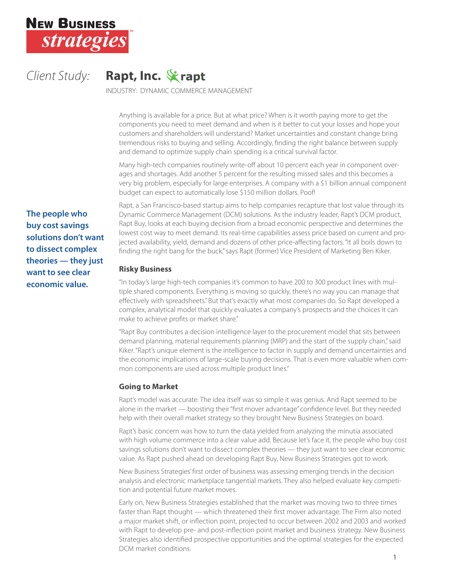

*Client Study:* **Rapt, Inc.** 

INDUSTRY: DYNAMIC COMMERCE MANAGEMENT

Anything is available for a price. But at what price? When is it worth paying more to get the components you need to meet demand and when is it better to cut your losses and hope your customers and shareholders will understand? Market uncertainties and constant change bring tremendous risks to buying and selling. Accordingly, finding the right balance between supply and demand to optimize supply chain spending is a critical survival factor.

Many high-tech companies routinely write-off about 10 percent each year in component overages and shortages. Add another 5 percent for the resulting missed sales and this becomes a very big problem, especially for large enterprises. A company with a \$1 billion annual component budget can expect to automatically lose \$150 million dollars. Poof!

**The people who buy cost savings solutions don't want to dissect complex theories — they just want to see clear economic value.**

Rapt, a San Francisco-based startup aims to help companies recapture that lost value through its Dynamic Commerce Management (DCM) solutions. As the industry leader, Rapt's DCM product, Rapt Buy, looks at each buying decision from a broad economic perspective and determines the lowest cost way to meet demand. Its real-time capabilities assess price based on current and projected availability, yield, demand and dozens of other price-affecting factors. "It all boils down to finding the right bang for the buck," says Rapt (former) Vice President of Marketing Ben Kiker.

# **Risky Business**

"In today's large high-tech companies it's common to have 200 to 300 product lines with multiple shared components. Everything is moving so quickly, there's no way you can manage that effectively with spreadsheets." But that's exactly what most companies do. So Rapt developed a complex, analytical model that quickly evaluates a company's prospects and the choices it can make to achieve profits or market share."

"Rapt Buy contributes a decision intelligence layer to the procurement model that sits between demand planning, material requirements planning (MRP) and the start of the supply chain," said Kiker. "Rapt's unique element is the intelligence to factor in supply and demand uncertainties and the economic implications of large-scale buying decisions. That is even more valuable when common components are used across multiple product lines."

# **Going to Market**

Rapt's model was accurate. The idea itself was so simple it was genius. And Rapt seemed to be alone in the market — boosting their "first mover advantage" confidence level. But they needed help with their overall market strategy so they brought New Business Strategies on board.

Rapt's basic concern was how to turn the data yielded from analyzing the minutia associated with high volume commerce into a clear value add. Because let's face it, the people who buy cost savings solutions don't want to dissect complex theories — they just want to see clear economic value. As Rapt pushed ahead on developing Rapt Buy, New Business Strategies got to work.

New Business Strategies' first order of business was assessing emerging trends in the decision analysis and electronic marketplace tangential markets. They also helped evaluate key competition and potential future market moves.

Early on, New Business Strategies established that the market was moving two to three times faster than Rapt thought — which threatened their first mover advantage. The Firm also noted a major market shift, or inflection point, projected to occur between 2002 and 2003 and worked with Rapt to develop pre- and post-inflection point market and business strategy. New Business Strategies also identified prospective opportunities and the optimal strategies for the expected DCM market conditions.